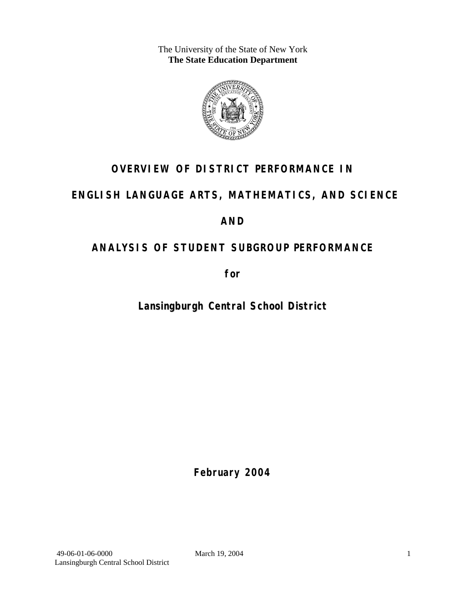The University of the State of New York **The State Education Department** 



# **OVERVIEW OF DISTRICT PERFORMANCE IN**

# **ENGLISH LANGUAGE ARTS, MATHEMATICS, AND SCIENCE**

# **AND**

# **ANALYSIS OF STUDENT SUBGROUP PERFORMANCE**

**for** 

**Lansingburgh Central School District**

**February 2004**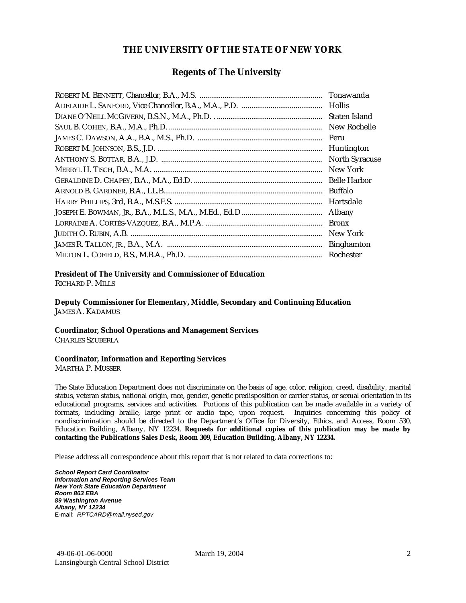#### **THE UNIVERSITY OF THE STATE OF NEW YORK**

#### **Regents of The University**

| Tonawanda             |
|-----------------------|
| <b>Hollis</b>         |
| Staten Island         |
| New Rochelle          |
| Peru                  |
| Huntington            |
| <b>North Syracuse</b> |
| New York              |
| <b>Belle Harbor</b>   |
| <b>Buffalo</b>        |
| Hartsdale             |
| Albany                |
| <b>Bronx</b>          |
| New York              |
| <b>Binghamton</b>     |
| Rochester             |

#### **President of The University and Commissioner of Education**

RICHARD P. MILLS

**Deputy Commissioner for Elementary, Middle, Secondary and Continuing Education**  JAMES A. KADAMUS

#### **Coordinator, School Operations and Management Services**

CHARLES SZUBERLA

#### **Coordinator, Information and Reporting Services**

MARTHA P. MUSSER

The State Education Department does not discriminate on the basis of age, color, religion, creed, disability, marital status, veteran status, national origin, race, gender, genetic predisposition or carrier status, or sexual orientation in its educational programs, services and activities. Portions of this publication can be made available in a variety of formats, including braille, large print or audio tape, upon request. Inquiries concerning this policy of nondiscrimination should be directed to the Department's Office for Diversity, Ethics, and Access, Room 530, Education Building, Albany, NY 12234. **Requests for additional copies of this publication may be made by contacting the Publications Sales Desk, Room 309, Education Building, Albany, NY 12234.** 

Please address all correspondence about this report that is not related to data corrections to:

*School Report Card Coordinator Information and Reporting Services Team New York State Education Department Room 863 EBA 89 Washington Avenue Albany, NY 12234*  E-mail: *RPTCARD@mail.nysed.gov*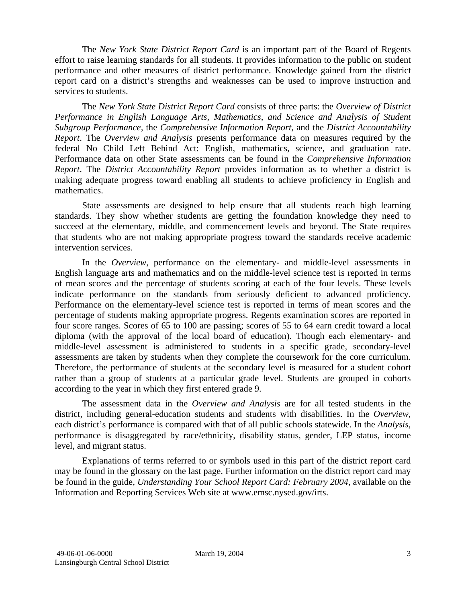The *New York State District Report Card* is an important part of the Board of Regents effort to raise learning standards for all students. It provides information to the public on student performance and other measures of district performance. Knowledge gained from the district report card on a district's strengths and weaknesses can be used to improve instruction and services to students.

The *New York State District Report Card* consists of three parts: the *Overview of District Performance in English Language Arts, Mathematics, and Science and Analysis of Student Subgroup Performance,* the *Comprehensive Information Report,* and the *District Accountability Report*. The *Overview and Analysis* presents performance data on measures required by the federal No Child Left Behind Act: English, mathematics, science, and graduation rate. Performance data on other State assessments can be found in the *Comprehensive Information Report*. The *District Accountability Report* provides information as to whether a district is making adequate progress toward enabling all students to achieve proficiency in English and mathematics.

State assessments are designed to help ensure that all students reach high learning standards. They show whether students are getting the foundation knowledge they need to succeed at the elementary, middle, and commencement levels and beyond. The State requires that students who are not making appropriate progress toward the standards receive academic intervention services.

In the *Overview*, performance on the elementary- and middle-level assessments in English language arts and mathematics and on the middle-level science test is reported in terms of mean scores and the percentage of students scoring at each of the four levels. These levels indicate performance on the standards from seriously deficient to advanced proficiency. Performance on the elementary-level science test is reported in terms of mean scores and the percentage of students making appropriate progress. Regents examination scores are reported in four score ranges. Scores of 65 to 100 are passing; scores of 55 to 64 earn credit toward a local diploma (with the approval of the local board of education). Though each elementary- and middle-level assessment is administered to students in a specific grade, secondary-level assessments are taken by students when they complete the coursework for the core curriculum. Therefore, the performance of students at the secondary level is measured for a student cohort rather than a group of students at a particular grade level. Students are grouped in cohorts according to the year in which they first entered grade 9.

The assessment data in the *Overview and Analysis* are for all tested students in the district, including general-education students and students with disabilities. In the *Overview*, each district's performance is compared with that of all public schools statewide. In the *Analysis*, performance is disaggregated by race/ethnicity, disability status, gender, LEP status, income level, and migrant status.

Explanations of terms referred to or symbols used in this part of the district report card may be found in the glossary on the last page. Further information on the district report card may be found in the guide, *Understanding Your School Report Card: February 2004*, available on the Information and Reporting Services Web site at www.emsc.nysed.gov/irts.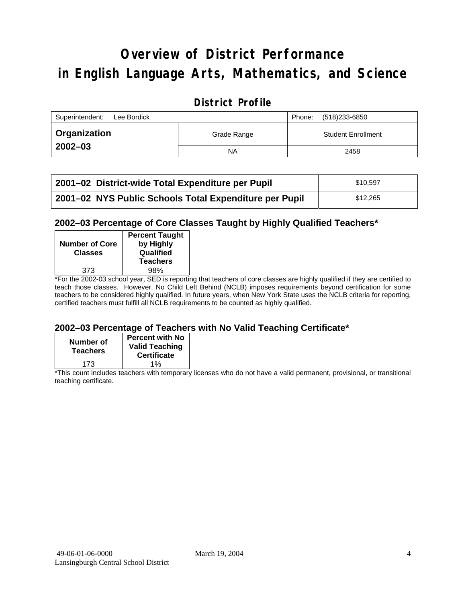# **Overview of District Performance in English Language Arts, Mathematics, and Science**

## **District Profile**

| Superintendent:<br>Lee Bordick |             |  | (518)233-6850             |
|--------------------------------|-------------|--|---------------------------|
| <b>Organization</b>            | Grade Range |  | <b>Student Enrollment</b> |
| $2002 - 03$                    | <b>NA</b>   |  | 2458                      |

| 2001–02 District-wide Total Expenditure per Pupil      | \$10,597 |
|--------------------------------------------------------|----------|
| 2001-02 NYS Public Schools Total Expenditure per Pupil | \$12.265 |

### **2002–03 Percentage of Core Classes Taught by Highly Qualified Teachers\***

| <b>Number of Core</b><br><b>Classes</b> | <b>Percent Taught</b><br>by Highly<br>Qualified<br><b>Teachers</b> |
|-----------------------------------------|--------------------------------------------------------------------|
| 373                                     | 98%                                                                |
| . .<br>$\overline{\phantom{a}}$         |                                                                    |

\*For the 2002-03 school year, SED is reporting that teachers of core classes are highly qualified if they are certified to teach those classes. However, No Child Left Behind (NCLB) imposes requirements beyond certification for some teachers to be considered highly qualified. In future years, when New York State uses the NCLB criteria for reporting, certified teachers must fulfill all NCLB requirements to be counted as highly qualified.

#### **2002–03 Percentage of Teachers with No Valid Teaching Certificate\***

| Number of<br><b>Teachers</b> | <b>Percent with No</b><br><b>Valid Teaching</b><br><b>Certificate</b> |
|------------------------------|-----------------------------------------------------------------------|
| 173                          | 1%                                                                    |

\*This count includes teachers with temporary licenses who do not have a valid permanent, provisional, or transitional teaching certificate.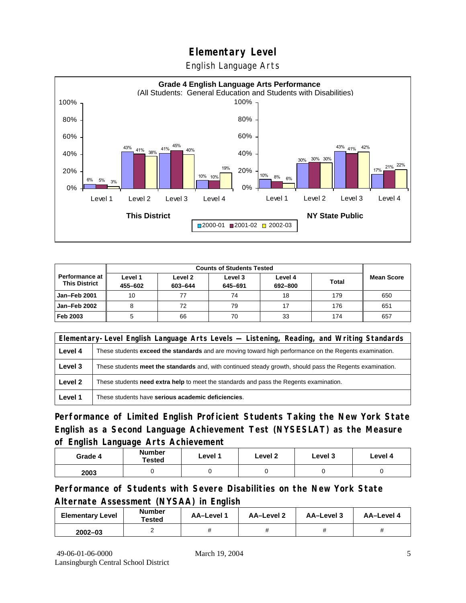English Language Arts



| <b>Counts of Students Tested</b>       |                    |                    |                    |                    |       |                   |
|----------------------------------------|--------------------|--------------------|--------------------|--------------------|-------|-------------------|
| Performance at<br><b>This District</b> | Level 1<br>455-602 | Level 2<br>603-644 | Level 3<br>645-691 | Level 4<br>692-800 | Total | <b>Mean Score</b> |
| Jan-Feb 2001                           | 10                 |                    | 74                 | 18                 | 179   | 650               |
| Jan-Feb 2002                           |                    | 72                 | 79                 | 17                 | 176   | 651               |
| Feb 2003                               |                    | 66                 | 70                 | 33                 | 174   | 657               |

|         | Elementary-Level English Language Arts Levels — Listening, Reading, and Writing Standards                     |  |  |  |  |  |
|---------|---------------------------------------------------------------------------------------------------------------|--|--|--|--|--|
| Level 4 | These students <b>exceed the standards</b> and are moving toward high performance on the Regents examination. |  |  |  |  |  |
| Level 3 | These students meet the standards and, with continued steady growth, should pass the Regents examination.     |  |  |  |  |  |
| Level 2 | These students need extra help to meet the standards and pass the Regents examination.                        |  |  |  |  |  |
| Level 1 | These students have serious academic deficiencies.                                                            |  |  |  |  |  |

**Performance of Limited English Proficient Students Taking the New York State English as a Second Language Achievement Test (NYSESLAT) as the Measure of English Language Arts Achievement**

| Grade 4 | <b>Number</b><br>Tested | Level 1 | Level 2 | Level 3 | Level 4 |
|---------|-------------------------|---------|---------|---------|---------|
| 2003    |                         |         |         |         |         |

**Performance of Students with Severe Disabilities on the New York State Alternate Assessment (NYSAA) in English** 

| <b>Elementary Level</b> | <b>Number</b><br>Tested | AA-Level | AA-Level 2 | AA-Level 3 | AA-Level 4 |
|-------------------------|-------------------------|----------|------------|------------|------------|
| $2002 - 03$             |                         |          |            |            |            |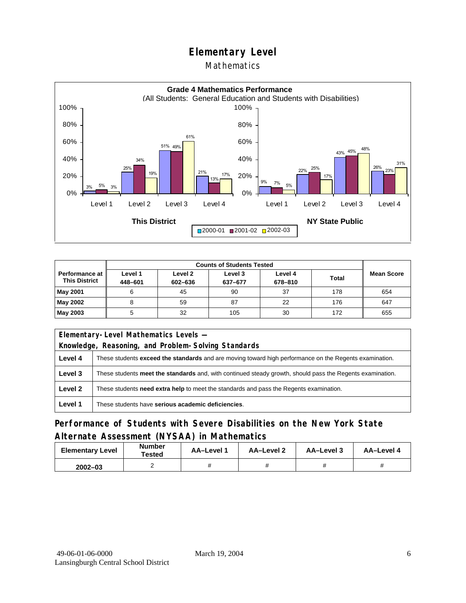### Mathematics



| <b>Counts of Students Tested</b>         |                    |                    |                    |                    |              |                   |
|------------------------------------------|--------------------|--------------------|--------------------|--------------------|--------------|-------------------|
| Performance at I<br><b>This District</b> | Level 1<br>448-601 | Level 2<br>602-636 | Level 3<br>637-677 | Level 4<br>678-810 | <b>Total</b> | <b>Mean Score</b> |
| May 2001                                 |                    | 45                 | 90                 | 37                 | 178          | 654               |
| May 2002                                 |                    | 59                 | 87                 | 22                 | 176          | 647               |
| May 2003                                 |                    | 32                 | 105                | 30                 | 172          | 655               |

| Elementary-Level Mathematics Levels - |                                                                                                               |  |  |  |
|---------------------------------------|---------------------------------------------------------------------------------------------------------------|--|--|--|
|                                       | Knowledge, Reasoning, and Problem-Solving Standards                                                           |  |  |  |
| Level 4                               | These students <b>exceed the standards</b> and are moving toward high performance on the Regents examination. |  |  |  |
| Level 3                               | These students meet the standards and, with continued steady growth, should pass the Regents examination.     |  |  |  |
| Level 2                               | These students need extra help to meet the standards and pass the Regents examination.                        |  |  |  |
| Level 1                               | These students have serious academic deficiencies.                                                            |  |  |  |

## **Performance of Students with Severe Disabilities on the New York State Alternate Assessment (NYSAA) in Mathematics**

| <b>Elementary Level</b> | <b>Number</b><br>Tested | AA-Level 1 | AA-Level 2 | AA-Level 3 | AA-Level 4 |
|-------------------------|-------------------------|------------|------------|------------|------------|
| $2002 - 03$             |                         |            |            |            |            |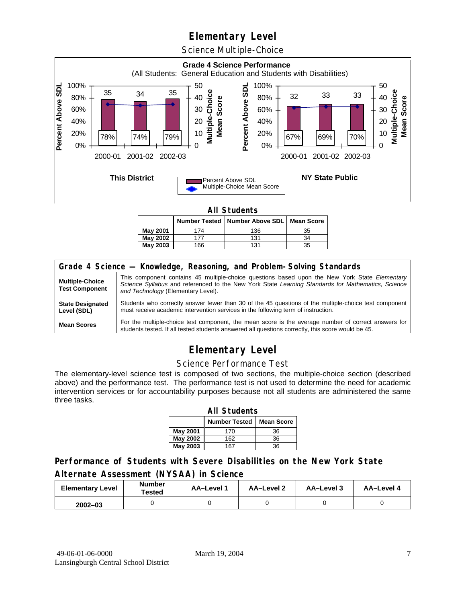Science Multiple-Choice



**All Students** 

|          |     | Number Tested   Number Above SDL   Mean Score |    |
|----------|-----|-----------------------------------------------|----|
| May 2001 | 174 | 136                                           | 35 |
| May 2002 |     | 131                                           | 34 |
| May 2003 | 166 | 131                                           | 35 |

| Grade 4 Science - Knowledge, Reasoning, and Problem-Solving Standards |                                                                                                                                                                                                                                          |  |  |  |  |
|-----------------------------------------------------------------------|------------------------------------------------------------------------------------------------------------------------------------------------------------------------------------------------------------------------------------------|--|--|--|--|
| <b>Multiple-Choice</b><br><b>Test Component</b>                       | This component contains 45 multiple-choice questions based upon the New York State Elementary<br>Science Syllabus and referenced to the New York State Learning Standards for Mathematics, Science<br>and Technology (Elementary Level). |  |  |  |  |
| <b>State Designated</b><br>Level (SDL)                                | Students who correctly answer fewer than 30 of the 45 questions of the multiple-choice test component<br>must receive academic intervention services in the following term of instruction.                                               |  |  |  |  |
| <b>Mean Scores</b>                                                    | For the multiple-choice test component, the mean score is the average number of correct answers for<br>students tested. If all tested students answered all questions correctly, this score would be 45.                                 |  |  |  |  |

## **Elementary Level**

#### Science Performance Test

The elementary-level science test is composed of two sections, the multiple-choice section (described above) and the performance test. The performance test is not used to determine the need for academic intervention services or for accountability purposes because not all students are administered the same three tasks.

| <b>All Students</b>                       |     |    |  |  |  |  |  |
|-------------------------------------------|-----|----|--|--|--|--|--|
| <b>Number Tested</b><br><b>Mean Score</b> |     |    |  |  |  |  |  |
| May 2001                                  | 170 | 36 |  |  |  |  |  |
| May 2002                                  | 162 | 36 |  |  |  |  |  |
| <b>May 2003</b><br>36<br>167              |     |    |  |  |  |  |  |

### **Performance of Students with Severe Disabilities on the New York State Alternate Assessment (NYSAA) in Science**

| <b>Elementary Level</b> | <b>Number</b><br>Tested | AA-Level | AA-Level 2 | AA-Level 3 | AA-Level 4 |
|-------------------------|-------------------------|----------|------------|------------|------------|
| $2002 - 03$             |                         |          |            |            |            |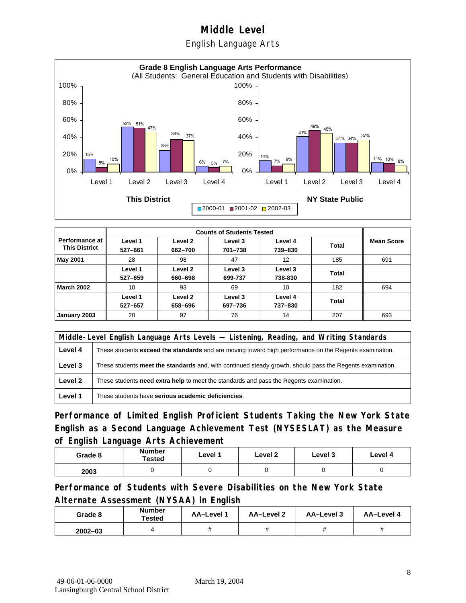English Language Arts



|                                          |                    |                    | <b>Counts of Students Tested</b> |                    |       |                   |
|------------------------------------------|--------------------|--------------------|----------------------------------|--------------------|-------|-------------------|
| Performance at I<br><b>This District</b> | Level 1<br>527-661 | Level 2<br>662-700 | Level 3<br>701-738               | Level 4<br>739-830 | Total | <b>Mean Score</b> |
| <b>May 2001</b>                          | 28                 | 98                 | 47                               | 12                 | 185   | 691               |
|                                          | Level 1<br>527-659 | Level 2<br>660-698 | Level 3<br>699-737               | Level 3<br>738-830 | Total |                   |
| <b>March 2002</b>                        | 10                 | 93                 | 69                               | 10                 | 182   | 694               |
|                                          | Level 1<br>527-657 | Level 2<br>658-696 | Level 3<br>697-736               | Level 4<br>737-830 | Total |                   |
| January 2003                             | 20                 | 97                 | 76                               | 14                 | 207   | 693               |

|         | Middle-Level English Language Arts Levels — Listening, Reading, and Writing Standards                         |  |  |  |  |
|---------|---------------------------------------------------------------------------------------------------------------|--|--|--|--|
| Level 4 | These students <b>exceed the standards</b> and are moving toward high performance on the Regents examination. |  |  |  |  |
| Level 3 | These students meet the standards and, with continued steady growth, should pass the Regents examination.     |  |  |  |  |
| Level 2 | These students <b>need extra help</b> to meet the standards and pass the Regents examination.                 |  |  |  |  |
| Level 1 | These students have serious academic deficiencies.                                                            |  |  |  |  |

**Performance of Limited English Proficient Students Taking the New York State English as a Second Language Achievement Test (NYSESLAT) as the Measure of English Language Arts Achievement**

| Grade 8 | <b>Number</b><br>Tested | Level 1 | Level 2 | Level 3 | Level 4 |
|---------|-------------------------|---------|---------|---------|---------|
| 2003    |                         |         |         |         |         |

**Performance of Students with Severe Disabilities on the New York State Alternate Assessment (NYSAA) in English** 

| Grade 8     | <b>Number</b><br>Tested | AA-Level 1 | AA-Level 2 | AA–Level 3 | AA-Level 4 |
|-------------|-------------------------|------------|------------|------------|------------|
| $2002 - 03$ |                         |            |            |            |            |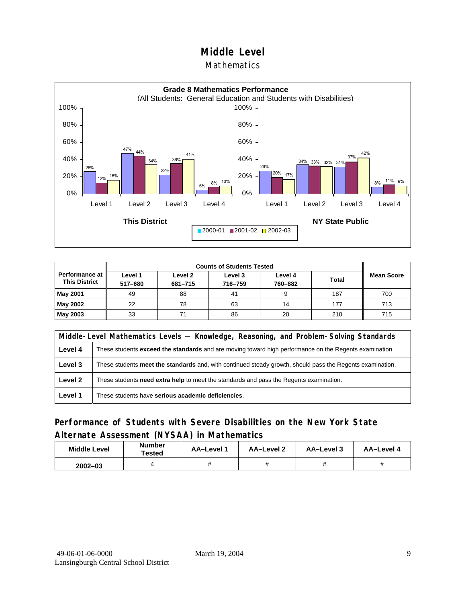#### Mathematics



| <b>Performance at</b><br><b>This District</b> | Level 1<br>517-680 | Level 2<br>681-715 | Level 3<br>716-759 | Level 4<br>760-882 | <b>Total</b> | <b>Mean Score</b> |
|-----------------------------------------------|--------------------|--------------------|--------------------|--------------------|--------------|-------------------|
| <b>May 2001</b>                               | 49                 | 88                 | 41                 |                    | 187          | 700               |
| May 2002                                      | 22                 | 78                 | 63                 | 14                 | 177          | 713               |
| <b>May 2003</b>                               | 33                 |                    | 86                 | 20                 | 210          | 715               |

|         | Middle-Level Mathematics Levels — Knowledge, Reasoning, and Problem-Solving Standards                         |  |  |  |  |
|---------|---------------------------------------------------------------------------------------------------------------|--|--|--|--|
| Level 4 | These students <b>exceed the standards</b> and are moving toward high performance on the Regents examination. |  |  |  |  |
| Level 3 | These students meet the standards and, with continued steady growth, should pass the Regents examination.     |  |  |  |  |
| Level 2 | These students <b>need extra help</b> to meet the standards and pass the Regents examination.                 |  |  |  |  |
| Level 1 | These students have serious academic deficiencies.                                                            |  |  |  |  |

## **Performance of Students with Severe Disabilities on the New York State Alternate Assessment (NYSAA) in Mathematics**

| <b>Middle Level</b> | <b>Number</b><br>Tested | AA-Level | AA-Level 2 | AA-Level 3 | AA-Level 4 |
|---------------------|-------------------------|----------|------------|------------|------------|
| $2002 - 03$         |                         |          |            |            |            |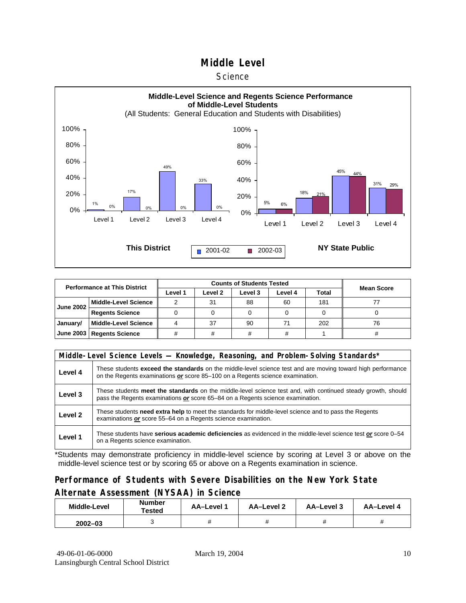#### **Science**



| <b>Performance at This District</b> |                             |         |         |         |         |              |                   |
|-------------------------------------|-----------------------------|---------|---------|---------|---------|--------------|-------------------|
|                                     |                             | Level 1 | Level 2 | Level 3 | Level 4 | <b>Total</b> | <b>Mean Score</b> |
| <b>June 2002</b>                    | <b>Middle-Level Science</b> |         | 31      | 88      | 60      | 181          |                   |
|                                     | <b>Regents Science</b>      |         |         |         |         |              |                   |
| January/                            | <b>Middle-Level Science</b> |         | 37      | 90      | 71      | 202          | 76                |
|                                     | June 2003   Regents Science | ₩       |         |         | #       |              | #                 |

|         | Middle-Level Science Levels — Knowledge, Reasoning, and Problem-Solving Standards*                                                                                                             |
|---------|------------------------------------------------------------------------------------------------------------------------------------------------------------------------------------------------|
| Level 4 | These students exceed the standards on the middle-level science test and are moving toward high performance<br>on the Regents examinations or score 85-100 on a Regents science examination.   |
| Level 3 | These students meet the standards on the middle-level science test and, with continued steady growth, should<br>pass the Regents examinations or score 65–84 on a Regents science examination. |
| Level 2 | These students need extra help to meet the standards for middle-level science and to pass the Regents<br>examinations or score 55-64 on a Regents science examination.                         |
| Level 1 | These students have serious academic deficiencies as evidenced in the middle-level science test or score 0–54<br>on a Regents science examination.                                             |

\*Students may demonstrate proficiency in middle-level science by scoring at Level 3 or above on the middle-level science test or by scoring 65 or above on a Regents examination in science.

## **Performance of Students with Severe Disabilities on the New York State Alternate Assessment (NYSAA) in Science**

| Middle-Level | Number<br>Tested | <b>AA-Level 1</b> | AA-Level 2 | AA-Level 3 | AA-Level 4 |  |
|--------------|------------------|-------------------|------------|------------|------------|--|
| $2002 - 03$  |                  |                   |            |            |            |  |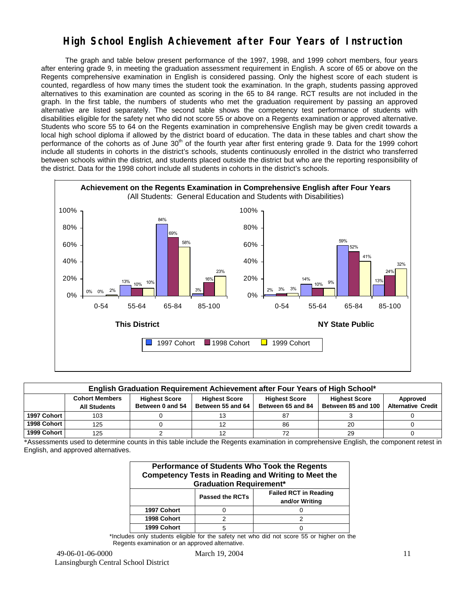## **High School English Achievement after Four Years of Instruction**

 The graph and table below present performance of the 1997, 1998, and 1999 cohort members, four years after entering grade 9, in meeting the graduation assessment requirement in English. A score of 65 or above on the Regents comprehensive examination in English is considered passing. Only the highest score of each student is counted, regardless of how many times the student took the examination. In the graph, students passing approved alternatives to this examination are counted as scoring in the 65 to 84 range. RCT results are not included in the graph. In the first table, the numbers of students who met the graduation requirement by passing an approved alternative are listed separately. The second table shows the competency test performance of students with disabilities eligible for the safety net who did not score 55 or above on a Regents examination or approved alternative. Students who score 55 to 64 on the Regents examination in comprehensive English may be given credit towards a local high school diploma if allowed by the district board of education. The data in these tables and chart show the performance of the cohorts as of June  $30<sup>th</sup>$  of the fourth year after first entering grade 9. Data for the 1999 cohort include all students in cohorts in the district's schools, students continuously enrolled in the district who transferred between schools within the district, and students placed outside the district but who are the reporting responsibility of the district. Data for the 1998 cohort include all students in cohorts in the district's schools.



|             | English Graduation Requirement Achievement after Four Years of High School*                                                                                                                                                                                               |  |  |    |    |  |  |  |  |  |  |  |  |
|-------------|---------------------------------------------------------------------------------------------------------------------------------------------------------------------------------------------------------------------------------------------------------------------------|--|--|----|----|--|--|--|--|--|--|--|--|
|             | <b>Cohort Members</b><br><b>Highest Score</b><br><b>Highest Score</b><br><b>Highest Score</b><br><b>Highest Score</b><br>Approved<br><b>Alternative Credit</b><br>Between 55 and 64<br>Between 0 and 54<br>Between 85 and 100<br>Between 65 and 84<br><b>All Students</b> |  |  |    |    |  |  |  |  |  |  |  |  |
| 1997 Cohort | 103                                                                                                                                                                                                                                                                       |  |  |    |    |  |  |  |  |  |  |  |  |
| 1998 Cohort | 125                                                                                                                                                                                                                                                                       |  |  | 86 | 20 |  |  |  |  |  |  |  |  |
| 1999 Cohort | 125                                                                                                                                                                                                                                                                       |  |  |    | 29 |  |  |  |  |  |  |  |  |

\*Assessments used to determine counts in this table include the Regents examination in comprehensive English, the component retest in English, and approved alternatives.

| Performance of Students Who Took the Regents<br><b>Competency Tests in Reading and Writing to Meet the</b><br><b>Graduation Requirement*</b> |  |  |  |  |  |  |  |  |
|----------------------------------------------------------------------------------------------------------------------------------------------|--|--|--|--|--|--|--|--|
| <b>Failed RCT in Reading</b><br><b>Passed the RCTs</b><br>and/or Writing                                                                     |  |  |  |  |  |  |  |  |
| 1997 Cohort                                                                                                                                  |  |  |  |  |  |  |  |  |
| 1998 Cohort                                                                                                                                  |  |  |  |  |  |  |  |  |
| 1999 Cohort                                                                                                                                  |  |  |  |  |  |  |  |  |

\*Includes only students eligible for the safety net who did not score 55 or higher on the Regents examination or an approved alternative.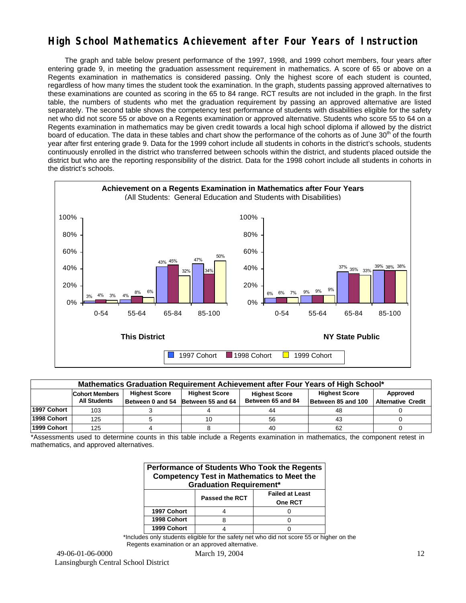## **High School Mathematics Achievement after Four Years of Instruction**

 The graph and table below present performance of the 1997, 1998, and 1999 cohort members, four years after entering grade 9, in meeting the graduation assessment requirement in mathematics. A score of 65 or above on a Regents examination in mathematics is considered passing. Only the highest score of each student is counted, regardless of how many times the student took the examination. In the graph, students passing approved alternatives to these examinations are counted as scoring in the 65 to 84 range. RCT results are not included in the graph. In the first table, the numbers of students who met the graduation requirement by passing an approved alternative are listed separately. The second table shows the competency test performance of students with disabilities eligible for the safety net who did not score 55 or above on a Regents examination or approved alternative. Students who score 55 to 64 on a Regents examination in mathematics may be given credit towards a local high school diploma if allowed by the district board of education. The data in these tables and chart show the performance of the cohorts as of June 30<sup>th</sup> of the fourth year after first entering grade 9. Data for the 1999 cohort include all students in cohorts in the district's schools, students continuously enrolled in the district who transferred between schools within the district, and students placed outside the district but who are the reporting responsibility of the district. Data for the 1998 cohort include all students in cohorts in the district's schools.



| Mathematics Graduation Requirement Achievement after Four Years of High School* |                                                                                                                                   |  |                                    |                   |                    |                           |  |  |  |  |  |
|---------------------------------------------------------------------------------|-----------------------------------------------------------------------------------------------------------------------------------|--|------------------------------------|-------------------|--------------------|---------------------------|--|--|--|--|--|
|                                                                                 | <b>Highest Score</b><br><b>Highest Score</b><br><b>Highest Score</b><br>Approved<br><b>Cohort Members</b><br><b>Highest Score</b> |  |                                    |                   |                    |                           |  |  |  |  |  |
|                                                                                 | <b>All Students</b>                                                                                                               |  | Between 0 and 54 Between 55 and 64 | Between 65 and 84 | Between 85 and 100 | <b>Alternative Credit</b> |  |  |  |  |  |
| 1997 Cohort                                                                     | 103                                                                                                                               |  |                                    | 44                | 48                 |                           |  |  |  |  |  |
| 1998 Cohort                                                                     | 125                                                                                                                               |  |                                    | 56                | 43                 |                           |  |  |  |  |  |
| 1999 Cohort                                                                     | 125                                                                                                                               |  |                                    | 40                | 62                 |                           |  |  |  |  |  |

\*Assessments used to determine counts in this table include a Regents examination in mathematics, the component retest in mathematics, and approved alternatives.

| Performance of Students Who Took the Regents<br><b>Competency Test in Mathematics to Meet the</b><br><b>Graduation Requirement*</b> |                                                            |  |  |  |  |  |  |  |  |
|-------------------------------------------------------------------------------------------------------------------------------------|------------------------------------------------------------|--|--|--|--|--|--|--|--|
|                                                                                                                                     | <b>Failed at Least</b><br><b>Passed the RCT</b><br>One RCT |  |  |  |  |  |  |  |  |
| 1997 Cohort                                                                                                                         |                                                            |  |  |  |  |  |  |  |  |
| 1998 Cohort                                                                                                                         |                                                            |  |  |  |  |  |  |  |  |
| 1999 Cohort                                                                                                                         |                                                            |  |  |  |  |  |  |  |  |

\*Includes only students eligible for the safety net who did not score 55 or higher on the Regents examination or an approved alternative.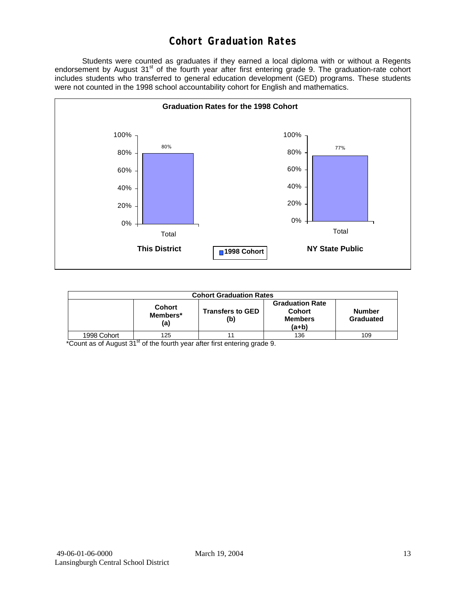## **Cohort Graduation Rates**

 Students were counted as graduates if they earned a local diploma with or without a Regents endorsement by August 31<sup>st</sup> of the fourth year after first entering grade 9. The graduation-rate cohort includes students who transferred to general education development (GED) programs. These students were not counted in the 1998 school accountability cohort for English and mathematics.



| <b>Cohort Graduation Rates</b> |                                  |                                |                                                               |                     |  |  |  |  |  |
|--------------------------------|----------------------------------|--------------------------------|---------------------------------------------------------------|---------------------|--|--|--|--|--|
|                                | <b>Cohort</b><br>Members*<br>(a) | <b>Transfers to GED</b><br>(b) | <b>Graduation Rate</b><br>Cohort<br><b>Members</b><br>$(a+b)$ | Number<br>Graduated |  |  |  |  |  |
| 1998 Cohort                    | 125                              |                                | 136                                                           | 109                 |  |  |  |  |  |

 $*$ Count as of August 31 $<sup>st</sup>$  of the fourth year after first entering grade 9.</sup>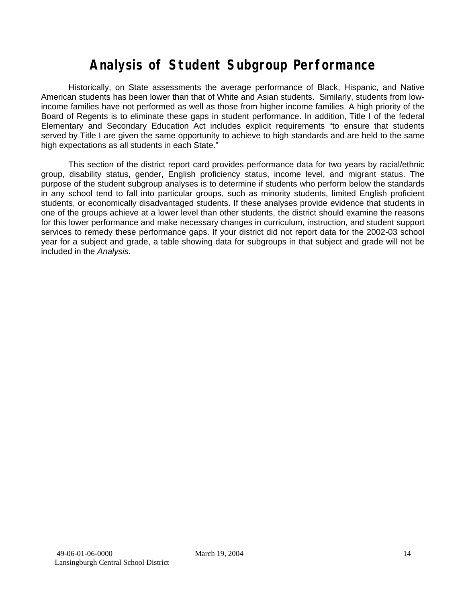# **Analysis of Student Subgroup Performance**

Historically, on State assessments the average performance of Black, Hispanic, and Native American students has been lower than that of White and Asian students. Similarly, students from lowincome families have not performed as well as those from higher income families. A high priority of the Board of Regents is to eliminate these gaps in student performance. In addition, Title I of the federal Elementary and Secondary Education Act includes explicit requirements "to ensure that students served by Title I are given the same opportunity to achieve to high standards and are held to the same high expectations as all students in each State."

This section of the district report card provides performance data for two years by racial/ethnic group, disability status, gender, English proficiency status, income level, and migrant status. The purpose of the student subgroup analyses is to determine if students who perform below the standards in any school tend to fall into particular groups, such as minority students, limited English proficient students, or economically disadvantaged students. If these analyses provide evidence that students in one of the groups achieve at a lower level than other students, the district should examine the reasons for this lower performance and make necessary changes in curriculum, instruction, and student support services to remedy these performance gaps. If your district did not report data for the 2002-03 school year for a subject and grade, a table showing data for subgroups in that subject and grade will not be included in the *Analysis*.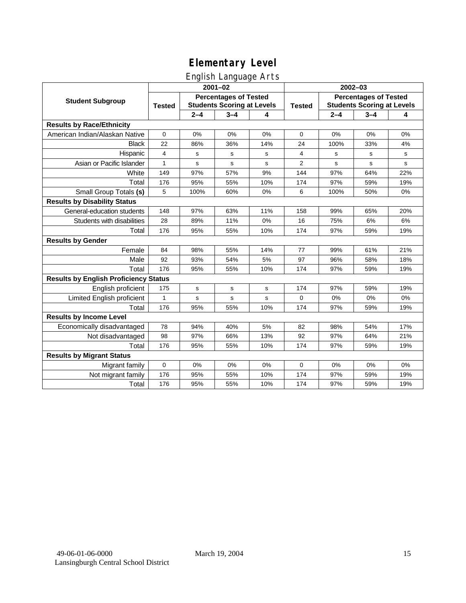# English Language Arts

|                                              | $2001 - 02$                                                                        |             |              |               | 2002-03                                                           |         |         |              |
|----------------------------------------------|------------------------------------------------------------------------------------|-------------|--------------|---------------|-------------------------------------------------------------------|---------|---------|--------------|
| <b>Student Subgroup</b>                      | <b>Percentages of Tested</b><br><b>Students Scoring at Levels</b><br><b>Tested</b> |             |              | <b>Tested</b> | <b>Percentages of Tested</b><br><b>Students Scoring at Levels</b> |         |         |              |
|                                              |                                                                                    | $2 - 4$     | $3 - 4$      | 4             |                                                                   | $2 - 4$ | $3 - 4$ | 4            |
| <b>Results by Race/Ethnicity</b>             |                                                                                    |             |              |               |                                                                   |         |         |              |
| American Indian/Alaskan Native               | 0                                                                                  | 0%          | 0%           | 0%            | $\mathbf 0$                                                       | 0%      | 0%      | 0%           |
| <b>Black</b>                                 | 22                                                                                 | 86%         | 36%          | 14%           | 24                                                                | 100%    | 33%     | 4%           |
| Hispanic                                     | 4                                                                                  | s           | s            | s             | 4                                                                 | s       | s       | s            |
| Asian or Pacific Islander                    | $\mathbf{1}$                                                                       | s           | s            | s             | $\overline{2}$                                                    | s       | s       | $\mathbf{s}$ |
| White                                        | 149                                                                                | 97%         | 57%          | 9%            | 144                                                               | 97%     | 64%     | 22%          |
| Total                                        | 176                                                                                | 95%         | 55%          | 10%           | 174                                                               | 97%     | 59%     | 19%          |
| Small Group Totals (s)                       | 5                                                                                  | 100%        | 60%          | 0%            | 6                                                                 | 100%    | 50%     | 0%           |
| <b>Results by Disability Status</b>          |                                                                                    |             |              |               |                                                                   |         |         |              |
| General-education students                   | 148                                                                                | 97%         | 63%          | 11%           | 158                                                               | 99%     | 65%     | 20%          |
| Students with disabilities                   | 28                                                                                 | 89%         | 11%          | 0%            | 16                                                                | 75%     | 6%      | 6%           |
| Total                                        | 176                                                                                | 95%         | 55%          | 10%           | 174                                                               | 97%     | 59%     | 19%          |
| <b>Results by Gender</b>                     |                                                                                    |             |              |               |                                                                   |         |         |              |
| Female                                       | 84                                                                                 | 98%         | 55%          | 14%           | 77                                                                | 99%     | 61%     | 21%          |
| Male                                         | 92                                                                                 | 93%         | 54%          | 5%            | 97                                                                | 96%     | 58%     | 18%          |
| Total                                        | 176                                                                                | 95%         | 55%          | 10%           | 174                                                               | 97%     | 59%     | 19%          |
| <b>Results by English Proficiency Status</b> |                                                                                    |             |              |               |                                                                   |         |         |              |
| English proficient                           | 175                                                                                | $\mathbf s$ | ${\tt s}$    | s             | 174                                                               | 97%     | 59%     | 19%          |
| Limited English proficient                   | $\mathbf{1}$                                                                       | s           | $\mathsf{s}$ | s             | 0                                                                 | 0%      | 0%      | 0%           |
| Total                                        | 176                                                                                | 95%         | 55%          | 10%           | 174                                                               | 97%     | 59%     | 19%          |
| <b>Results by Income Level</b>               |                                                                                    |             |              |               |                                                                   |         |         |              |
| Economically disadvantaged                   | 78                                                                                 | 94%         | 40%          | 5%            | 82                                                                | 98%     | 54%     | 17%          |
| Not disadvantaged                            | 98                                                                                 | 97%         | 66%          | 13%           | 92                                                                | 97%     | 64%     | 21%          |
| Total                                        | 176                                                                                | 95%         | 55%          | 10%           | 174                                                               | 97%     | 59%     | 19%          |
| <b>Results by Migrant Status</b>             |                                                                                    |             |              |               |                                                                   |         |         |              |
| Migrant family                               | $\mathbf 0$                                                                        | 0%          | 0%           | 0%            | 0                                                                 | 0%      | 0%      | 0%           |
| Not migrant family                           | 176                                                                                | 95%         | 55%          | 10%           | 174                                                               | 97%     | 59%     | 19%          |
| Total                                        | 176                                                                                | 95%         | 55%          | 10%           | 174                                                               | 97%     | 59%     | 19%          |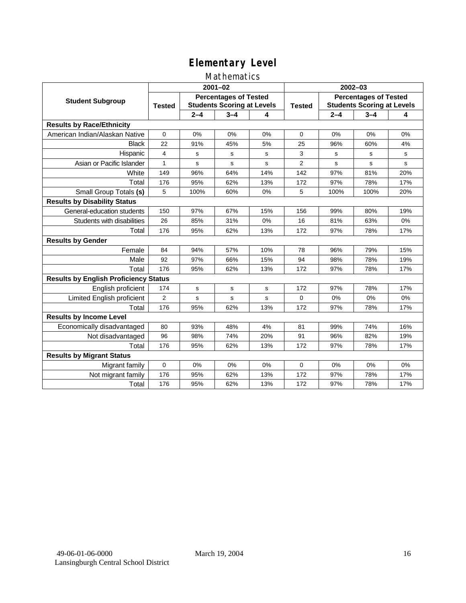## Mathematics

|                                              | $2001 - 02$    |                                                                   |         |     | $2002 - 03$   |                                                                   |             |     |
|----------------------------------------------|----------------|-------------------------------------------------------------------|---------|-----|---------------|-------------------------------------------------------------------|-------------|-----|
| <b>Student Subgroup</b>                      | <b>Tested</b>  | <b>Percentages of Tested</b><br><b>Students Scoring at Levels</b> |         |     | <b>Tested</b> | <b>Percentages of Tested</b><br><b>Students Scoring at Levels</b> |             |     |
|                                              |                | $2 - 4$                                                           | $3 - 4$ | 4   |               | $2 - 4$                                                           | $3 - 4$     | 4   |
| <b>Results by Race/Ethnicity</b>             |                |                                                                   |         |     |               |                                                                   |             |     |
| American Indian/Alaskan Native               | $\Omega$       | 0%                                                                | 0%      | 0%  | $\Omega$      | 0%                                                                | 0%          | 0%  |
| <b>Black</b>                                 | 22             | 91%                                                               | 45%     | 5%  | 25            | 96%                                                               | 60%         | 4%  |
| Hispanic                                     | 4              | s                                                                 | s       | s   | 3             | s                                                                 | s           | s   |
| Asian or Pacific Islander                    | 1              | s                                                                 | s       | s   | 2             | s                                                                 | $\mathbf s$ | s   |
| White                                        | 149            | 96%                                                               | 64%     | 14% | 142           | 97%                                                               | 81%         | 20% |
| Total                                        | 176            | 95%                                                               | 62%     | 13% | 172           | 97%                                                               | 78%         | 17% |
| Small Group Totals (s)                       | 5              | 100%                                                              | 60%     | 0%  | 5             | 100%                                                              | 100%        | 20% |
| <b>Results by Disability Status</b>          |                |                                                                   |         |     |               |                                                                   |             |     |
| General-education students                   | 150            | 97%                                                               | 67%     | 15% | 156           | 99%                                                               | 80%         | 19% |
| Students with disabilities                   | 26             | 85%                                                               | 31%     | 0%  | 16            | 81%                                                               | 63%         | 0%  |
| Total                                        | 176            | 95%                                                               | 62%     | 13% | 172           | 97%                                                               | 78%         | 17% |
| <b>Results by Gender</b>                     |                |                                                                   |         |     |               |                                                                   |             |     |
| Female                                       | 84             | 94%                                                               | 57%     | 10% | 78            | 96%                                                               | 79%         | 15% |
| Male                                         | 92             | 97%                                                               | 66%     | 15% | 94            | 98%                                                               | 78%         | 19% |
| Total                                        | 176            | 95%                                                               | 62%     | 13% | 172           | 97%                                                               | 78%         | 17% |
| <b>Results by English Proficiency Status</b> |                |                                                                   |         |     |               |                                                                   |             |     |
| English proficient                           | 174            | $\mathbf s$                                                       | s       | s   | 172           | 97%                                                               | 78%         | 17% |
| Limited English proficient                   | $\overline{2}$ | s                                                                 | s       | s   | $\Omega$      | 0%                                                                | 0%          | 0%  |
| Total                                        | 176            | 95%                                                               | 62%     | 13% | 172           | 97%                                                               | 78%         | 17% |
| <b>Results by Income Level</b>               |                |                                                                   |         |     |               |                                                                   |             |     |
| Economically disadvantaged                   | 80             | 93%                                                               | 48%     | 4%  | 81            | 99%                                                               | 74%         | 16% |
| Not disadvantaged                            | 96             | 98%                                                               | 74%     | 20% | 91            | 96%                                                               | 82%         | 19% |
| Total                                        | 176            | 95%                                                               | 62%     | 13% | 172           | 97%                                                               | 78%         | 17% |
| <b>Results by Migrant Status</b>             |                |                                                                   |         |     |               |                                                                   |             |     |
| Migrant family                               | 0              | 0%                                                                | 0%      | 0%  | $\Omega$      | 0%                                                                | 0%          | 0%  |
| Not migrant family                           | 176            | 95%                                                               | 62%     | 13% | 172           | 97%                                                               | 78%         | 17% |
| Total                                        | 176            | 95%                                                               | 62%     | 13% | 172           | 97%                                                               | 78%         | 17% |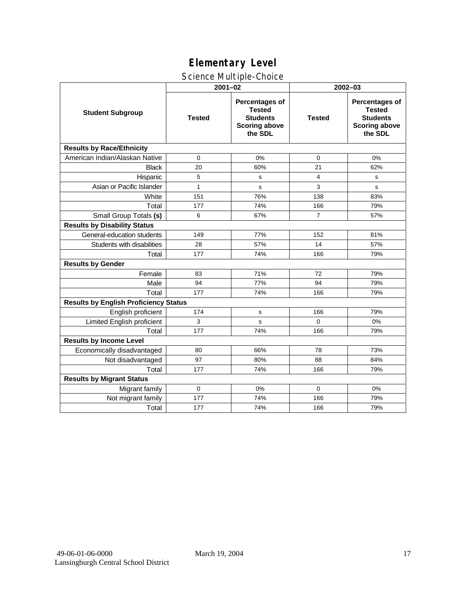# Science Multiple-Choice

|                                              |               | $2001 - 02$                                                                                  | 2002-03        |                                                                                              |  |  |
|----------------------------------------------|---------------|----------------------------------------------------------------------------------------------|----------------|----------------------------------------------------------------------------------------------|--|--|
| <b>Student Subgroup</b>                      | <b>Tested</b> | <b>Percentages of</b><br><b>Tested</b><br><b>Students</b><br><b>Scoring above</b><br>the SDL | <b>Tested</b>  | <b>Percentages of</b><br><b>Tested</b><br><b>Students</b><br><b>Scoring above</b><br>the SDL |  |  |
| <b>Results by Race/Ethnicity</b>             |               |                                                                                              |                |                                                                                              |  |  |
| American Indian/Alaskan Native               | $\mathbf 0$   | 0%                                                                                           | $\mathbf 0$    | 0%                                                                                           |  |  |
| <b>Black</b>                                 | 20            | 60%                                                                                          | 21             | 62%                                                                                          |  |  |
| Hispanic                                     | 5             | s                                                                                            | 4              | s                                                                                            |  |  |
| Asian or Pacific Islander                    | $\mathbf{1}$  | s                                                                                            | 3              | s                                                                                            |  |  |
| White                                        | 151           | 76%                                                                                          | 138            | 83%                                                                                          |  |  |
| Total                                        | 177           | 74%                                                                                          | 166            | 79%                                                                                          |  |  |
| Small Group Totals (s)                       | 6             | 67%                                                                                          | $\overline{7}$ | 57%                                                                                          |  |  |
| <b>Results by Disability Status</b>          |               |                                                                                              |                |                                                                                              |  |  |
| General-education students                   | 149           | 77%                                                                                          | 152            | 81%                                                                                          |  |  |
| Students with disabilities                   | 28            | 57%                                                                                          | 14             | 57%                                                                                          |  |  |
| Total                                        | 177           | 74%                                                                                          | 166            | 79%                                                                                          |  |  |
| <b>Results by Gender</b>                     |               |                                                                                              |                |                                                                                              |  |  |
| Female                                       | 83            | 71%                                                                                          | 72             | 79%                                                                                          |  |  |
| Male                                         | 94            | 77%                                                                                          | 94             | 79%                                                                                          |  |  |
| Total                                        | 177           | 74%                                                                                          | 166            | 79%                                                                                          |  |  |
| <b>Results by English Proficiency Status</b> |               |                                                                                              |                |                                                                                              |  |  |
| English proficient                           | 174           | s                                                                                            | 166            | 79%                                                                                          |  |  |
| Limited English proficient                   | 3             | s                                                                                            | 0              | 0%                                                                                           |  |  |
| Total                                        | 177           | 74%                                                                                          | 166            | 79%                                                                                          |  |  |
| <b>Results by Income Level</b>               |               |                                                                                              |                |                                                                                              |  |  |
| Economically disadvantaged                   | 80            | 66%                                                                                          | 78             | 73%                                                                                          |  |  |
| Not disadvantaged                            | 97            | 80%                                                                                          | 88             | 84%                                                                                          |  |  |
| Total                                        | 177           | 74%                                                                                          | 166            | 79%                                                                                          |  |  |
| <b>Results by Migrant Status</b>             |               |                                                                                              |                |                                                                                              |  |  |
| Migrant family                               | $\mathbf 0$   | 0%                                                                                           | $\Omega$       | 0%                                                                                           |  |  |
| Not migrant family                           | 177           | 74%                                                                                          | 166            | 79%                                                                                          |  |  |
| Total                                        | 177           | 74%                                                                                          | 166            | 79%                                                                                          |  |  |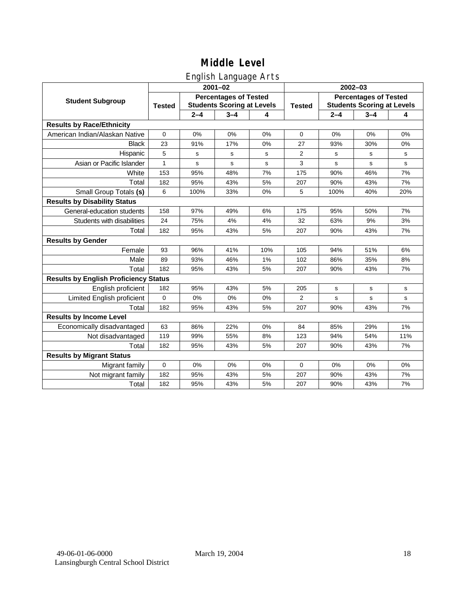## English Language Arts

|                                              |                                                                                    |         | ັ<br>$2001 - 02$ |               | $2002 - 03$                                                       |         |             |             |
|----------------------------------------------|------------------------------------------------------------------------------------|---------|------------------|---------------|-------------------------------------------------------------------|---------|-------------|-------------|
| <b>Student Subgroup</b>                      | <b>Percentages of Tested</b><br><b>Students Scoring at Levels</b><br><b>Tested</b> |         |                  | <b>Tested</b> | <b>Percentages of Tested</b><br><b>Students Scoring at Levels</b> |         |             |             |
|                                              |                                                                                    | $2 - 4$ | $3 - 4$          | 4             |                                                                   | $2 - 4$ | $3 - 4$     | 4           |
| <b>Results by Race/Ethnicity</b>             |                                                                                    |         |                  |               |                                                                   |         |             |             |
| American Indian/Alaskan Native               | $\mathbf 0$                                                                        | 0%      | 0%               | 0%            | $\mathbf 0$                                                       | 0%      | 0%          | 0%          |
| <b>Black</b>                                 | 23                                                                                 | 91%     | 17%              | 0%            | 27                                                                | 93%     | 30%         | 0%          |
| Hispanic                                     | 5                                                                                  | s       | s                | s             | $\overline{2}$                                                    | s       | s           | s           |
| Asian or Pacific Islander                    | 1                                                                                  | s       | s                | s             | 3                                                                 | s       | s           | $\mathbf s$ |
| White                                        | 153                                                                                | 95%     | 48%              | 7%            | 175                                                               | 90%     | 46%         | 7%          |
| Total                                        | 182                                                                                | 95%     | 43%              | 5%            | 207                                                               | 90%     | 43%         | 7%          |
| Small Group Totals (s)                       | 6                                                                                  | 100%    | 33%              | 0%            | 5                                                                 | 100%    | 40%         | 20%         |
| <b>Results by Disability Status</b>          |                                                                                    |         |                  |               |                                                                   |         |             |             |
| General-education students                   | 158                                                                                | 97%     | 49%              | 6%            | 175                                                               | 95%     | 50%         | 7%          |
| Students with disabilities                   | 24                                                                                 | 75%     | 4%               | 4%            | 32                                                                | 63%     | 9%          | 3%          |
| Total                                        | 182                                                                                | 95%     | 43%              | 5%            | 207                                                               | 90%     | 43%         | 7%          |
| <b>Results by Gender</b>                     |                                                                                    |         |                  |               |                                                                   |         |             |             |
| Female                                       | 93                                                                                 | 96%     | 41%              | 10%           | 105                                                               | 94%     | 51%         | 6%          |
| Male                                         | 89                                                                                 | 93%     | 46%              | 1%            | 102                                                               | 86%     | 35%         | 8%          |
| Total                                        | 182                                                                                | 95%     | 43%              | 5%            | 207                                                               | 90%     | 43%         | 7%          |
| <b>Results by English Proficiency Status</b> |                                                                                    |         |                  |               |                                                                   |         |             |             |
| English proficient                           | 182                                                                                | 95%     | 43%              | 5%            | 205                                                               | s       | $\mathbf s$ | $\mathbf s$ |
| Limited English proficient                   | $\mathbf{0}$                                                                       | 0%      | 0%               | 0%            | $\overline{2}$                                                    | s       | s           | $\mathbf s$ |
| Total                                        | 182                                                                                | 95%     | 43%              | 5%            | 207                                                               | 90%     | 43%         | 7%          |
| <b>Results by Income Level</b>               |                                                                                    |         |                  |               |                                                                   |         |             |             |
| Economically disadvantaged                   | 63                                                                                 | 86%     | 22%              | 0%            | 84                                                                | 85%     | 29%         | 1%          |
| Not disadvantaged                            | 119                                                                                | 99%     | 55%              | 8%            | 123                                                               | 94%     | 54%         | 11%         |
| Total                                        | 182                                                                                | 95%     | 43%              | 5%            | 207                                                               | 90%     | 43%         | 7%          |
| <b>Results by Migrant Status</b>             |                                                                                    |         |                  |               |                                                                   |         |             |             |
| Migrant family                               | $\mathbf 0$                                                                        | 0%      | 0%               | 0%            | 0                                                                 | 0%      | 0%          | 0%          |
| Not migrant family                           | 182                                                                                | 95%     | 43%              | 5%            | 207                                                               | 90%     | 43%         | 7%          |
| Total                                        | 182                                                                                | 95%     | 43%              | 5%            | 207                                                               | 90%     | 43%         | 7%          |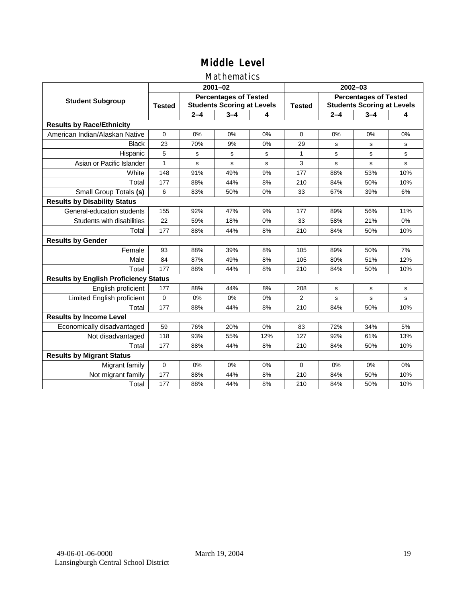## Mathematics

|                                              |               |                                                                   | $2001 - 02$ |     | 2002-03        |                                                                   |             |           |
|----------------------------------------------|---------------|-------------------------------------------------------------------|-------------|-----|----------------|-------------------------------------------------------------------|-------------|-----------|
| <b>Student Subgroup</b>                      | <b>Tested</b> | <b>Percentages of Tested</b><br><b>Students Scoring at Levels</b> |             |     | <b>Tested</b>  | <b>Percentages of Tested</b><br><b>Students Scoring at Levels</b> |             |           |
|                                              |               | $2 - 4$                                                           | $3 - 4$     | 4   |                | $2 - 4$                                                           | $3 - 4$     | 4         |
| <b>Results by Race/Ethnicity</b>             |               |                                                                   |             |     |                |                                                                   |             |           |
| American Indian/Alaskan Native               | $\mathbf{0}$  | 0%                                                                | 0%          | 0%  | $\Omega$       | 0%                                                                | 0%          | 0%        |
| <b>Black</b>                                 | 23            | 70%                                                               | 9%          | 0%  | 29             | s                                                                 | s           | s         |
| Hispanic                                     | 5             | s                                                                 | s           | s   | $\mathbf{1}$   | s                                                                 | s           | s         |
| Asian or Pacific Islander                    | $\mathbf{1}$  | s                                                                 | s           | s   | 3              | $\mathbf s$                                                       | s           | s         |
| White                                        | 148           | 91%                                                               | 49%         | 9%  | 177            | 88%                                                               | 53%         | 10%       |
| Total                                        | 177           | 88%                                                               | 44%         | 8%  | 210            | 84%                                                               | 50%         | 10%       |
| Small Group Totals (s)                       | 6             | 83%                                                               | 50%         | 0%  | 33             | 67%                                                               | 39%         | 6%        |
| <b>Results by Disability Status</b>          |               |                                                                   |             |     |                |                                                                   |             |           |
| General-education students                   | 155           | 92%                                                               | 47%         | 9%  | 177            | 89%                                                               | 56%         | 11%       |
| Students with disabilities                   | 22            | 59%                                                               | 18%         | 0%  | 33             | 58%                                                               | 21%         | 0%        |
| Total                                        | 177           | 88%                                                               | 44%         | 8%  | 210            | 84%                                                               | 50%         | 10%       |
| <b>Results by Gender</b>                     |               |                                                                   |             |     |                |                                                                   |             |           |
| Female                                       | 93            | 88%                                                               | 39%         | 8%  | 105            | 89%                                                               | 50%         | 7%        |
| Male                                         | 84            | 87%                                                               | 49%         | 8%  | 105            | 80%                                                               | 51%         | 12%       |
| Total                                        | 177           | 88%                                                               | 44%         | 8%  | 210            | 84%                                                               | 50%         | 10%       |
| <b>Results by English Proficiency Status</b> |               |                                                                   |             |     |                |                                                                   |             |           |
| English proficient                           | 177           | 88%                                                               | 44%         | 8%  | 208            | s                                                                 | $\mathbf s$ | ${\tt s}$ |
| Limited English proficient                   | 0             | 0%                                                                | 0%          | 0%  | $\overline{2}$ | s                                                                 | s           | s         |
| Total                                        | 177           | 88%                                                               | 44%         | 8%  | 210            | 84%                                                               | 50%         | 10%       |
| <b>Results by Income Level</b>               |               |                                                                   |             |     |                |                                                                   |             |           |
| Economically disadvantaged                   | 59            | 76%                                                               | 20%         | 0%  | 83             | 72%                                                               | 34%         | 5%        |
| Not disadvantaged                            | 118           | 93%                                                               | 55%         | 12% | 127            | 92%                                                               | 61%         | 13%       |
| Total                                        | 177           | 88%                                                               | 44%         | 8%  | 210            | 84%                                                               | 50%         | 10%       |
| <b>Results by Migrant Status</b>             |               |                                                                   |             |     |                |                                                                   |             |           |
| Migrant family                               | 0             | 0%                                                                | 0%          | 0%  | $\Omega$       | 0%                                                                | 0%          | 0%        |
| Not migrant family                           | 177           | 88%                                                               | 44%         | 8%  | 210            | 84%                                                               | 50%         | 10%       |
| Total                                        | 177           | 88%                                                               | 44%         | 8%  | 210            | 84%                                                               | 50%         | 10%       |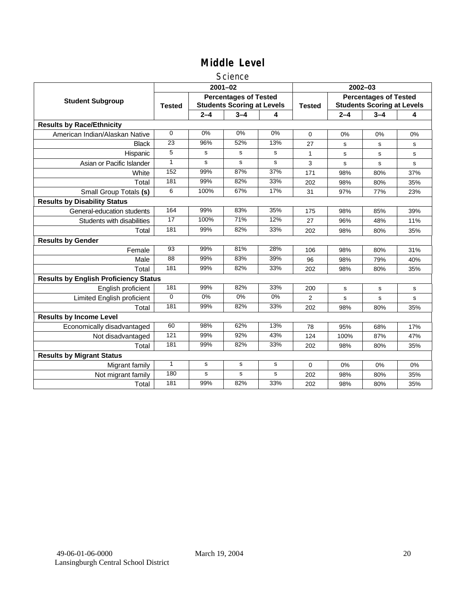#### **Science**

|                                              |                 |             | $2001 - 02$                                                       |             | $2002 - 03$    |                                                                   |         |     |  |
|----------------------------------------------|-----------------|-------------|-------------------------------------------------------------------|-------------|----------------|-------------------------------------------------------------------|---------|-----|--|
| <b>Student Subgroup</b>                      | <b>Tested</b>   |             | <b>Percentages of Tested</b><br><b>Students Scoring at Levels</b> |             | <b>Tested</b>  | <b>Percentages of Tested</b><br><b>Students Scoring at Levels</b> |         |     |  |
|                                              |                 | $2 - 4$     | $3 - 4$                                                           | 4           |                | $2 - 4$                                                           | $3 - 4$ | 4   |  |
| <b>Results by Race/Ethnicity</b>             |                 |             |                                                                   |             |                |                                                                   |         |     |  |
| American Indian/Alaskan Native               | $\Omega$        | 0%          | 0%                                                                | 0%          | $\Omega$       | 0%                                                                | 0%      | 0%  |  |
| <b>Black</b>                                 | 23              | 96%         | 52%                                                               | 13%         | 27             | s                                                                 | s       | s   |  |
| Hispanic                                     | 5               | s           | s                                                                 | s           | 1              | s                                                                 | s       | s   |  |
| Asian or Pacific Islander                    | 1               | s           | s                                                                 | $\mathbf s$ | 3              | s                                                                 | s       | s   |  |
| White                                        | 152             | 99%         | 87%                                                               | 37%         | 171            | 98%                                                               | 80%     | 37% |  |
| Total                                        | 181             | 99%         | 82%                                                               | 33%         | 202            | 98%                                                               | 80%     | 35% |  |
| Small Group Totals (s)                       | 6               | 100%        | 67%                                                               | 17%         | 31             | 97%                                                               | 77%     | 23% |  |
| <b>Results by Disability Status</b>          |                 |             |                                                                   |             |                |                                                                   |         |     |  |
| General-education students                   | 164             | 99%         | 83%                                                               | 35%         | 175            | 98%                                                               | 85%     | 39% |  |
| Students with disabilities                   | $\overline{17}$ | 100%        | 71%                                                               | 12%         | 27             | 96%                                                               | 48%     | 11% |  |
| Total                                        | 181             | 99%         | 82%                                                               | 33%         | 202            | 98%                                                               | 80%     | 35% |  |
| <b>Results by Gender</b>                     |                 |             |                                                                   |             |                |                                                                   |         |     |  |
| Female                                       | $\overline{93}$ | 99%         | 81%                                                               | 28%         | 106            | 98%                                                               | 80%     | 31% |  |
| Male                                         | 88              | 99%         | 83%                                                               | 39%         | 96             | 98%                                                               | 79%     | 40% |  |
| Total                                        | 181             | 99%         | 82%                                                               | 33%         | 202            | 98%                                                               | 80%     | 35% |  |
| <b>Results by English Proficiency Status</b> |                 |             |                                                                   |             |                |                                                                   |         |     |  |
| English proficient                           | 181             | 99%         | 82%                                                               | 33%         | 200            | s                                                                 | s       | s   |  |
| Limited English proficient                   | $\Omega$        | $0\%$       | $0\%$                                                             | $0\%$       | $\overline{2}$ | s                                                                 | s       | s   |  |
| Total                                        | 181             | 99%         | 82%                                                               | 33%         | 202            | 98%                                                               | 80%     | 35% |  |
| <b>Results by Income Level</b>               |                 |             |                                                                   |             |                |                                                                   |         |     |  |
| Economically disadvantaged                   | 60              | 98%         | 62%                                                               | 13%         | 78             | 95%                                                               | 68%     | 17% |  |
| Not disadvantaged                            | 121             | 99%         | 92%                                                               | 43%         | 124            | 100%                                                              | 87%     | 47% |  |
| Total                                        | 181             | 99%         | 82%                                                               | 33%         | 202            | 98%                                                               | 80%     | 35% |  |
| <b>Results by Migrant Status</b>             |                 |             |                                                                   |             |                |                                                                   |         |     |  |
| Migrant family                               | $\mathbf{1}$    | s           | s                                                                 | s           | 0              | $0\%$                                                             | 0%      | 0%  |  |
| Not migrant family                           | 180             | $\mathbf s$ | s                                                                 | s           | 202            | 98%                                                               | 80%     | 35% |  |
| Total                                        | 181             | 99%         | 82%                                                               | 33%         | 202            | 98%                                                               | 80%     | 35% |  |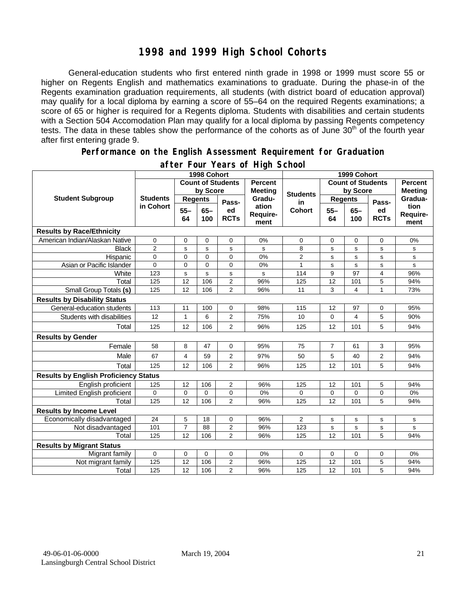## **1998 and 1999 High School Cohorts**

General-education students who first entered ninth grade in 1998 or 1999 must score 55 or higher on Regents English and mathematics examinations to graduate. During the phase-in of the Regents examination graduation requirements, all students (with district board of education approval) may qualify for a local diploma by earning a score of 55–64 on the required Regents examinations; a score of 65 or higher is required for a Regents diploma. Students with disabilities and certain students with a Section 504 Accomodation Plan may qualify for a local diploma by passing Regents competency tests. The data in these tables show the performance of the cohorts as of June 30<sup>th</sup> of the fourth year after first entering grade 9.

#### **Performance on the English Assessment Requirement for Graduation**

|                                              | 1998 Cohort                  |                          |               |                                  |                           | 1999 Cohort              |                 |                                  |                   |                          |
|----------------------------------------------|------------------------------|--------------------------|---------------|----------------------------------|---------------------------|--------------------------|-----------------|----------------------------------|-------------------|--------------------------|
|                                              |                              | <b>Count of Students</b> |               | <b>Percent</b><br><b>Meeting</b> |                           | <b>Count of Students</b> |                 | <b>Percent</b><br><b>Meeting</b> |                   |                          |
| <b>Student Subgroup</b>                      | <b>Students</b><br>in Cohort | by Score                 |               |                                  | <b>Students</b>           | by Score                 |                 |                                  |                   |                          |
|                                              |                              | <b>Regents</b>           |               | Pass-                            | Gradu-                    | in                       | <b>Regents</b>  |                                  | Pass-             | Gradua-                  |
|                                              |                              | $55 -$<br>64             | $65 -$<br>100 | ed<br><b>RCTs</b>                | ation<br>Require-<br>ment | <b>Cohort</b>            | $55 -$<br>64    | $65 -$<br>100                    | ed<br><b>RCTs</b> | tion<br>Require-<br>ment |
| <b>Results by Race/Ethnicity</b>             |                              |                          |               |                                  |                           |                          |                 |                                  |                   |                          |
| American Indian/Alaskan Native               | 0                            | 0                        | 0             | $\mathbf 0$                      | 0%                        | 0                        | 0               | 0                                | $\mathbf 0$       | 0%                       |
| <b>Black</b>                                 | $\overline{c}$               | s                        | s             | ${\tt s}$                        | s                         | 8                        | s               | s                                | s                 | s                        |
| Hispanic                                     | $\overline{0}$               | 0                        | $\Omega$      | $\Omega$                         | 0%                        | $\overline{2}$           | s               | s                                | s                 | s                        |
| Asian or Pacific Islander                    | 0                            | 0                        | $\mathbf 0$   | $\mathbf 0$                      | 0%                        | $\mathbf{1}$             | $\mathbf s$     | s                                | s                 | s                        |
| White                                        | 123                          | s                        | s             | $\mathbf s$                      | s                         | 114                      | 9               | 97                               | 4                 | 96%                      |
| Total                                        | 125                          | 12                       | 106           | 2                                | 96%                       | 125                      | $\overline{12}$ | 101                              | 5                 | 94%                      |
| Small Group Totals (s)                       | 125                          | 12                       | 106           | $\overline{2}$                   | 96%                       | 11                       | 3               | 4                                | 1                 | 73%                      |
| <b>Results by Disability Status</b>          |                              |                          |               |                                  |                           |                          |                 |                                  |                   |                          |
| General-education students                   | 113                          | 11                       | 100           | 0                                | 98%                       | 115                      | 12              | 97                               | 0                 | 95%                      |
| Students with disabilities                   | 12                           | $\mathbf{1}$             | 6             | $\overline{2}$                   | 75%                       | 10                       | 0               | 4                                | 5                 | 90%                      |
| Total                                        | 125                          | 12                       | 106           | 2                                | 96%                       | 125                      | 12              | 101                              | 5                 | 94%                      |
| <b>Results by Gender</b>                     |                              |                          |               |                                  |                           |                          |                 |                                  |                   |                          |
| Female                                       | 58                           | 8                        | 47            | $\mathbf 0$                      | 95%                       | 75                       | $\overline{7}$  | 61                               | 3                 | 95%                      |
| Male                                         | 67                           | $\overline{4}$           | 59            | $\overline{2}$                   | 97%                       | 50                       | 5               | 40                               | $\overline{2}$    | 94%                      |
| Total                                        | 125                          | 12                       | 106           | $\overline{2}$                   | 96%                       | 125                      | 12              | 101                              | 5                 | 94%                      |
| <b>Results by English Proficiency Status</b> |                              |                          |               |                                  |                           |                          |                 |                                  |                   |                          |
| English proficient                           | 125                          | 12                       | 106           | $\overline{2}$                   | 96%                       | 125                      | 12              | 101                              | 5                 | 94%                      |
| Limited English proficient                   | $\mathbf 0$                  | 0                        | 0             | 0                                | 0%                        | 0                        | 0               | 0                                | 0                 | 0%                       |
| Total                                        | 125                          | 12                       | 106           | $\overline{2}$                   | 96%                       | 125                      | 12              | 101                              | 5                 | 94%                      |
| <b>Results by Income Level</b>               |                              |                          |               |                                  |                           |                          |                 |                                  |                   |                          |
| Economically disadvantaged                   | 24                           | 5                        | 18            | $\mathbf 0$                      | 96%                       | $\overline{2}$           | s               | s                                | s                 | s                        |
| Not disadvantaged                            | 101                          | $\overline{7}$           | 88            | $\overline{2}$                   | 96%                       | 123                      | $\sf s$         | s                                | s                 | s                        |
| Total                                        | 125                          | 12                       | 106           | $\overline{2}$                   | 96%                       | 125                      | 12              | 101                              | 5                 | 94%                      |
| <b>Results by Migrant Status</b>             |                              |                          |               |                                  |                           |                          |                 |                                  |                   |                          |
| Migrant family                               | $\mathbf 0$                  | 0                        | 0             | 0                                | 0%                        | 0                        | 0               | 0                                | 0                 | 0%                       |
| Not migrant family                           | 125                          | 12                       | 106           | 2                                | 96%                       | 125                      | 12              | 101                              | 5                 | 94%                      |
| Total                                        | 125                          | 12                       | 106           | $\overline{2}$                   | 96%                       | 125                      | 12              | 101                              | 5                 | 94%                      |

### **after Four Years of High School**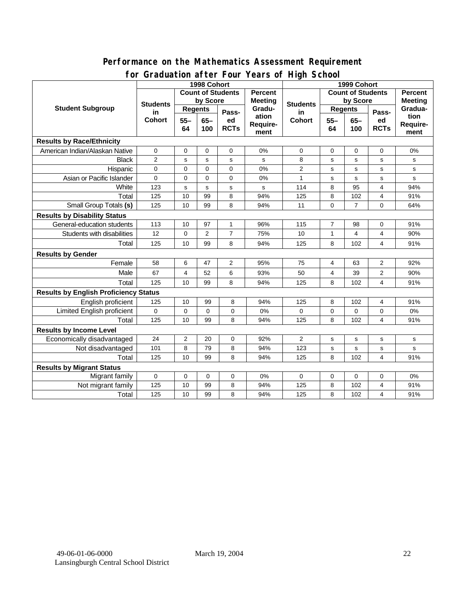#### **Performance on the Mathematics Assessment Requirement for Graduation after Four Years of High School**

|                                              | oraaaanon artor roor<br>1998 Cohort |                                            |                |                   |                           |                          |                | Turis of Thyll Sullou<br>1999 Cohort |                   |                          |  |  |
|----------------------------------------------|-------------------------------------|--------------------------------------------|----------------|-------------------|---------------------------|--------------------------|----------------|--------------------------------------|-------------------|--------------------------|--|--|
|                                              |                                     | <b>Count of Students</b><br><b>Percent</b> |                |                   |                           | <b>Count of Students</b> |                |                                      | <b>Percent</b>    |                          |  |  |
| <b>Student Subgroup</b>                      | <b>Students</b>                     | by Score                                   |                | <b>Meeting</b>    |                           | by Score                 |                | <b>Meeting</b>                       |                   |                          |  |  |
|                                              | in<br><b>Cohort</b>                 | <b>Regents</b>                             |                | Pass-             | Gradu-                    | <b>Students</b><br>in    | <b>Regents</b> |                                      | Pass-             | Gradua-                  |  |  |
|                                              |                                     | $55 -$<br>64                               | $65 -$<br>100  | ed<br><b>RCTs</b> | ation<br>Require-<br>ment | <b>Cohort</b>            | $55 -$<br>64   | $65 -$<br>100                        | ed<br><b>RCTs</b> | tion<br>Require-<br>ment |  |  |
| <b>Results by Race/Ethnicity</b>             |                                     |                                            |                |                   |                           |                          |                |                                      |                   |                          |  |  |
| American Indian/Alaskan Native               | $\pmb{0}$                           | $\mathbf 0$                                | $\mathbf 0$    | 0                 | 0%                        | 0                        | 0              | $\mathbf 0$                          | 0                 | 0%                       |  |  |
| <b>Black</b>                                 | $\overline{c}$                      | s                                          | s              | s                 | s                         | 8                        | s              | $\mathbf s$                          | s                 | s                        |  |  |
| Hispanic                                     | 0                                   | $\mathbf 0$                                | $\mathbf 0$    | 0                 | 0%                        | $\overline{2}$           | s              | s                                    | s                 | s                        |  |  |
| Asian or Pacific Islander                    | 0                                   | $\mathbf 0$                                | $\mathbf 0$    | $\mathbf 0$       | 0%                        | $\mathbf{1}$             | s              | $\mathbf s$                          | s                 | s                        |  |  |
| White                                        | 123                                 | $\mathbf s$                                | $\mathbf s$    | s                 | s                         | 114                      | 8              | 95                                   | 4                 | 94%                      |  |  |
| Total                                        | 125                                 | 10                                         | 99             | 8                 | 94%                       | 125                      | 8              | 102                                  | 4                 | 91%                      |  |  |
| Small Group Totals (s)                       | 125                                 | 10                                         | 99             | 8                 | 94%                       | 11                       | 0              | $\overline{7}$                       | 0                 | 64%                      |  |  |
| <b>Results by Disability Status</b>          |                                     |                                            |                |                   |                           |                          |                |                                      |                   |                          |  |  |
| General-education students                   | 113                                 | 10                                         | 97             | $\mathbf{1}$      | 96%                       | 115                      | $\overline{7}$ | 98                                   | $\mathbf 0$       | 91%                      |  |  |
| Students with disabilities                   | 12                                  | $\mathbf 0$                                | $\overline{2}$ | $\overline{7}$    | 75%                       | 10                       | 1              | $\overline{4}$                       | 4                 | 90%                      |  |  |
| Total                                        | 125                                 | 10                                         | 99             | 8                 | 94%                       | 125                      | 8              | 102                                  | 4                 | 91%                      |  |  |
| <b>Results by Gender</b>                     |                                     |                                            |                |                   |                           |                          |                |                                      |                   |                          |  |  |
| Female                                       | 58                                  | 6                                          | 47             | 2                 | 95%                       | 75                       | 4              | 63                                   | 2                 | 92%                      |  |  |
| Male                                         | 67                                  | $\overline{4}$                             | 52             | 6                 | 93%                       | 50                       | 4              | 39                                   | $\mathbf{2}$      | 90%                      |  |  |
| Total                                        | 125                                 | 10                                         | 99             | 8                 | 94%                       | 125                      | 8              | 102                                  | 4                 | 91%                      |  |  |
| <b>Results by English Proficiency Status</b> |                                     |                                            |                |                   |                           |                          |                |                                      |                   |                          |  |  |
| English proficient                           | 125                                 | 10                                         | 99             | 8                 | 94%                       | 125                      | 8              | 102                                  | 4                 | 91%                      |  |  |
| Limited English proficient                   | 0                                   | $\mathbf 0$                                | $\mathbf 0$    | 0                 | 0%                        | 0                        | $\pmb{0}$      | 0                                    | 0                 | 0%                       |  |  |
| Total                                        | 125                                 | 10                                         | 99             | 8                 | 94%                       | 125                      | 8              | 102                                  | 4                 | 91%                      |  |  |
| <b>Results by Income Level</b>               |                                     |                                            |                |                   |                           |                          |                |                                      |                   |                          |  |  |
| Economically disadvantaged                   | 24                                  | $\overline{2}$                             | 20             | 0                 | 92%                       | $\overline{2}$           | s              | $\mathbf s$                          | s                 | s                        |  |  |
| Not disadvantaged                            | 101                                 | 8                                          | 79             | 8                 | 94%                       | 123                      | s              | $\mathbf s$                          | s                 | s                        |  |  |
| Total                                        | 125                                 | 10                                         | 99             | 8                 | 94%                       | 125                      | 8              | 102                                  | 4                 | 91%                      |  |  |
| <b>Results by Migrant Status</b>             |                                     |                                            |                |                   |                           |                          |                |                                      |                   |                          |  |  |
| Migrant family                               | $\mathbf 0$                         | $\mathbf 0$                                | $\mathbf 0$    | $\mathbf 0$       | 0%                        | $\mathbf 0$              | $\mathbf 0$    | $\mathbf 0$                          | 0                 | 0%                       |  |  |
| Not migrant family                           | 125                                 | 10                                         | 99             | 8                 | 94%                       | 125                      | 8              | 102                                  | 4                 | 91%                      |  |  |
| Total                                        | 125                                 | 10                                         | 99             | 8                 | 94%                       | 125                      | 8              | 102                                  | 4                 | 91%                      |  |  |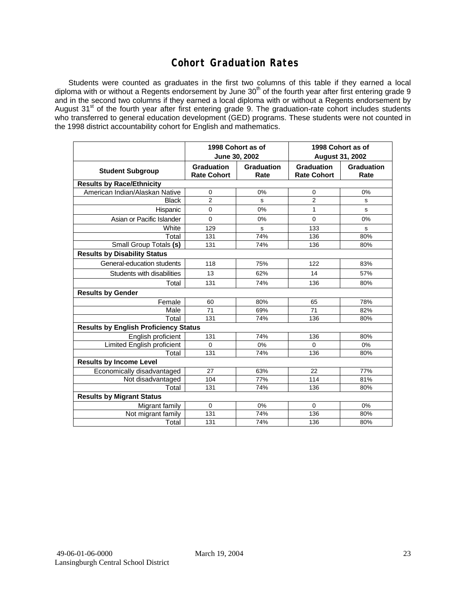## **Cohort Graduation Rates**

Students were counted as graduates in the first two columns of this table if they earned a local diploma with or without a Regents endorsement by June 30<sup>th</sup> of the fourth year after first entering grade 9 and in the second two columns if they earned a local diploma with or without a Regents endorsement by August 31st of the fourth year after first entering grade 9. The graduation-rate cohort includes students who transferred to general education development (GED) programs. These students were not counted in the 1998 district accountability cohort for English and mathematics.

|                                              |                                         | 1998 Cohort as of<br>June 30, 2002 | 1998 Cohort as of<br><b>August 31, 2002</b> |                    |  |  |  |  |
|----------------------------------------------|-----------------------------------------|------------------------------------|---------------------------------------------|--------------------|--|--|--|--|
| <b>Student Subgroup</b>                      | <b>Graduation</b><br><b>Rate Cohort</b> | Graduation<br>Rate                 | <b>Graduation</b><br><b>Rate Cohort</b>     | Graduation<br>Rate |  |  |  |  |
| <b>Results by Race/Ethnicity</b>             |                                         |                                    |                                             |                    |  |  |  |  |
| American Indian/Alaskan Native               | 0                                       | 0%                                 | 0                                           | 0%                 |  |  |  |  |
| <b>Black</b>                                 | $\overline{2}$                          | s                                  | $\overline{2}$                              | s                  |  |  |  |  |
| Hispanic                                     | $\mathbf 0$                             | 0%                                 | 1                                           | s                  |  |  |  |  |
| Asian or Pacific Islander                    | $\mathbf 0$                             | 0%                                 | $\mathbf 0$                                 | 0%                 |  |  |  |  |
| White                                        | 129                                     | s                                  | 133                                         | s                  |  |  |  |  |
| Total                                        | 131                                     | 74%                                | 136                                         | 80%                |  |  |  |  |
| Small Group Totals (s)                       | 131                                     | 74%                                | 136                                         | 80%                |  |  |  |  |
| <b>Results by Disability Status</b>          |                                         |                                    |                                             |                    |  |  |  |  |
| General-education students                   | 118                                     | 75%                                | 122                                         | 83%                |  |  |  |  |
| Students with disabilities                   | 13                                      | 62%                                | 14                                          | 57%                |  |  |  |  |
| Total                                        | 131                                     | 74%                                | 136                                         | 80%                |  |  |  |  |
| <b>Results by Gender</b>                     |                                         |                                    |                                             |                    |  |  |  |  |
| Female                                       | 60                                      | 80%                                | 65                                          | 78%                |  |  |  |  |
| Male                                         | 71                                      | 69%                                | 71                                          | 82%                |  |  |  |  |
| Total                                        | 131                                     | 74%                                | 136                                         | 80%                |  |  |  |  |
| <b>Results by English Proficiency Status</b> |                                         |                                    |                                             |                    |  |  |  |  |
| English proficient                           | 131                                     | 74%                                | 136                                         | 80%                |  |  |  |  |
| Limited English proficient                   | $\mathbf 0$                             | 0%                                 | $\Omega$                                    | 0%                 |  |  |  |  |
| Total                                        | 131                                     | 74%                                | 136                                         | 80%                |  |  |  |  |
| <b>Results by Income Level</b>               |                                         |                                    |                                             |                    |  |  |  |  |
| Economically disadvantaged                   | 27                                      | 63%                                | 22                                          | 77%                |  |  |  |  |
| Not disadvantaged                            | 104                                     | 77%                                | 114                                         | 81%                |  |  |  |  |
| Total                                        | 131                                     | 74%                                | 136                                         | 80%                |  |  |  |  |
| <b>Results by Migrant Status</b>             |                                         |                                    |                                             |                    |  |  |  |  |
| Migrant family                               | $\mathbf 0$                             | 0%                                 | $\Omega$                                    | 0%                 |  |  |  |  |
| Not migrant family                           | 131                                     | 74%                                | 136                                         | 80%                |  |  |  |  |
| Total                                        | 131                                     | 74%                                | 136                                         | 80%                |  |  |  |  |